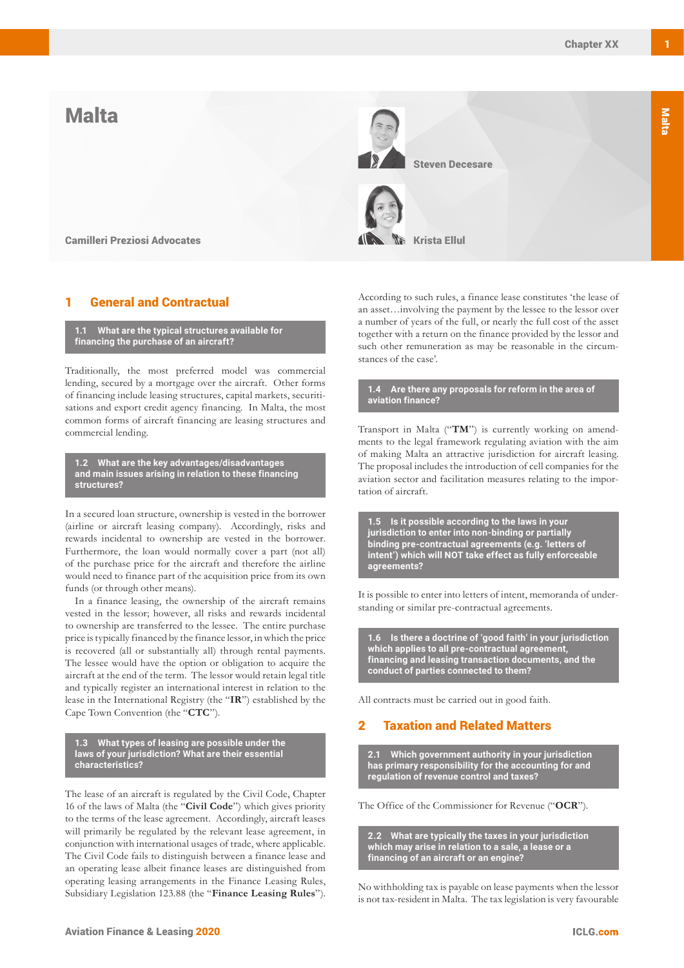# Malta



Camilleri Preziosi Advocates **Krista Ellul**land All Microsoft Krista Ellul

# **General and Contractual**

**1.1 What are the typical structures available for financing the purchase of an aircraft?**

Traditionally, the most preferred model was commercial lending, secured by a mortgage over the aircraft. Other forms of financing include leasing structures, capital markets, securitisations and export credit agency financing. In Malta, the most common forms of aircraft financing are leasing structures and commercial lending.

**1.2 What are the key advantages/disadvantages and main issues arising in relation to these financing structures?**

In a secured loan structure, ownership is vested in the borrower (airline or aircraft leasing company). Accordingly, risks and rewards incidental to ownership are vested in the borrower. Furthermore, the loan would normally cover a part (not all) of the purchase price for the aircraft and therefore the airline would need to finance part of the acquisition price from its own funds (or through other means).

In a finance leasing, the ownership of the aircraft remains vested in the lessor; however, all risks and rewards incidental to ownership are transferred to the lessee. The entire purchase price is typically financed by the finance lessor, in which the price is recovered (all or substantially all) through rental payments. The lessee would have the option or obligation to acquire the aircraft at the end of the term. The lessor would retain legal title and typically register an international interest in relation to the lease in the International Registry (the "**IR**") established by the Cape Town Convention (the "**CTC**").

**1.3 What types of leasing are possible under the laws of your jurisdiction? What are their essential characteristics?**

The lease of an aircraft is regulated by the Civil Code, Chapter 16 of the laws of Malta (the "**Civil Code**") which gives priority to the terms of the lease agreement. Accordingly, aircraft leases will primarily be regulated by the relevant lease agreement, in conjunction with international usages of trade, where applicable. The Civil Code fails to distinguish between a finance lease and an operating lease albeit finance leases are distinguished from operating leasing arrangements in the Finance Leasing Rules, Subsidiary Legislation 123.88 (the "**Finance Leasing Rules**").

According to such rules, a finance lease constitutes 'the lease of an asset…involving the payment by the lessee to the lessor over a number of years of the full, or nearly the full cost of the asset together with a return on the finance provided by the lessor and such other remuneration as may be reasonable in the circumstances of the case'.

**1.4 Are there any proposals for reform in the area of aviation finance?**

Transport in Malta ("**TM**") is currently working on amendments to the legal framework regulating aviation with the aim of making Malta an attractive jurisdiction for aircraft leasing. The proposal includes the introduction of cell companies for the aviation sector and facilitation measures relating to the importation of aircraft.

**1.5 Is it possible according to the laws in your jurisdiction to enter into non-binding or partially binding pre-contractual agreements (e.g. 'letters of intent') which will NOT take effect as fully enforceable agreements?**

It is possible to enter into letters of intent, memoranda of understanding or similar pre-contractual agreements.

**1.6 Is there a doctrine of 'good faith' in your jurisdiction which applies to all pre-contractual agreement, financing and leasing transaction documents, and the conduct of parties connected to them?**

All contracts must be carried out in good faith.

## **Taxation and Related Matters**

**2.1 Which government authority in your jurisdiction has primary responsibility for the accounting for and regulation of revenue control and taxes?**

The Office of the Commissioner for Revenue ("**OCR**").

**2.2 What are typically the taxes in your jurisdiction which may arise in relation to a sale, a lease or a financing of an aircraft or an engine?**

No withholding tax is payable on lease payments when the lessor is not tax-resident in Malta. The tax legislation is very favourable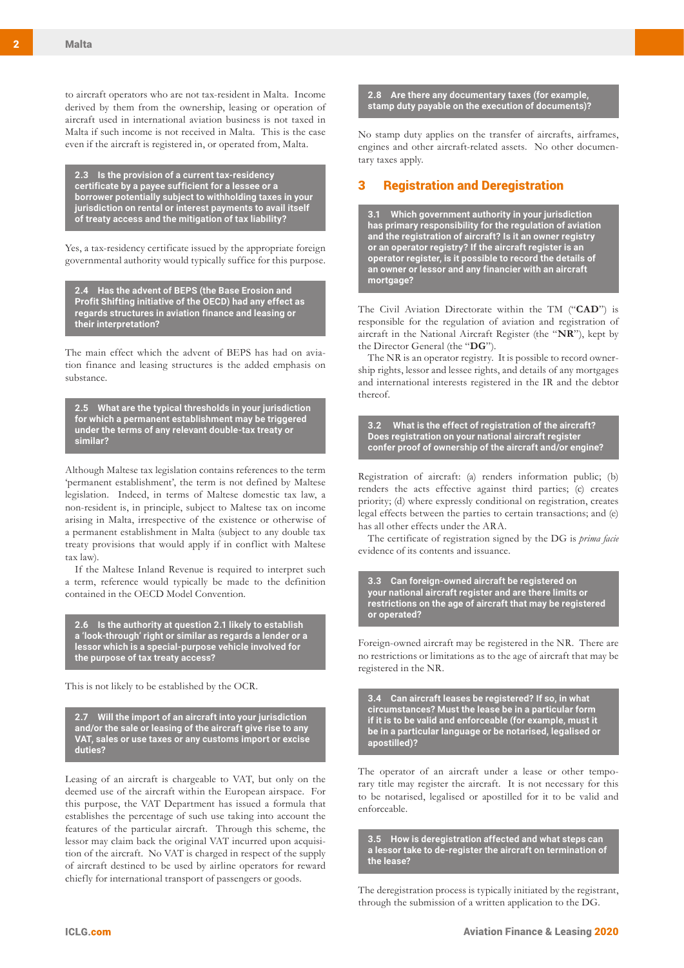to aircraft operators who are not tax-resident in Malta. Income derived by them from the ownership, leasing or operation of aircraft used in international aviation business is not taxed in Malta if such income is not received in Malta. This is the case even if the aircraft is registered in, or operated from, Malta.

**2.3 Is the provision of a current tax-residency certificate by a payee sufficient for a lessee or a borrower potentially subject to withholding taxes in your jurisdiction on rental or interest payments to avail itself of treaty access and the mitigation of tax liability?**

Yes, a tax-residency certificate issued by the appropriate foreign governmental authority would typically suffice for this purpose.

**2.4 Has the advent of BEPS (the Base Erosion and Profit Shifting initiative of the OECD) had any effect as regards structures in aviation finance and leasing or their interpretation?**

The main effect which the advent of BEPS has had on aviation finance and leasing structures is the added emphasis on substance.

**2.5 What are the typical thresholds in your jurisdiction for which a permanent establishment may be triggered under the terms of any relevant double-tax treaty or similar?**

Although Maltese tax legislation contains references to the term 'permanent establishment', the term is not defined by Maltese legislation. Indeed, in terms of Maltese domestic tax law, a non-resident is, in principle, subject to Maltese tax on income arising in Malta, irrespective of the existence or otherwise of a permanent establishment in Malta (subject to any double tax treaty provisions that would apply if in conflict with Maltese tax law).

If the Maltese Inland Revenue is required to interpret such a term, reference would typically be made to the definition contained in the OECD Model Convention.

**2.6 Is the authority at question 2.1 likely to establish a 'look-through' right or similar as regards a lender or a lessor which is a special-purpose vehicle involved for the purpose of tax treaty access?**

This is not likely to be established by the OCR.

**2.7 Will the import of an aircraft into your jurisdiction and/or the sale or leasing of the aircraft give rise to any VAT, sales or use taxes or any customs import or excise duties?** 

Leasing of an aircraft is chargeable to VAT, but only on the deemed use of the aircraft within the European airspace. For this purpose, the VAT Department has issued a formula that establishes the percentage of such use taking into account the features of the particular aircraft. Through this scheme, the lessor may claim back the original VAT incurred upon acquisition of the aircraft. No VAT is charged in respect of the supply of aircraft destined to be used by airline operators for reward chiefly for international transport of passengers or goods.

#### **2.8 Are there any documentary taxes (for example, stamp duty payable on the execution of documents)?**

No stamp duty applies on the transfer of aircrafts, airframes, engines and other aircraft-related assets. No other documentary taxes apply.

## 3 Registration and Deregistration

**3.1 Which government authority in your jurisdiction has primary responsibility for the regulation of aviation and the registration of aircraft? Is it an owner registry or an operator registry? If the aircraft register is an operator register, is it possible to record the details of an owner or lessor and any financier with an aircraft mortgage?** 

The Civil Aviation Directorate within the TM ("**CAD**") is responsible for the regulation of aviation and registration of aircraft in the National Aircraft Register (the "**NR**"), kept by the Director General (the "**DG**").

The NR is an operator registry. It is possible to record ownership rights, lessor and lessee rights, and details of any mortgages and international interests registered in the IR and the debtor thereof.

**3.2 What is the effect of registration of the aircraft? Does registration on your national aircraft register confer proof of ownership of the aircraft and/or engine?**

Registration of aircraft: (a) renders information public; (b) renders the acts effective against third parties; (c) creates priority; (d) where expressly conditional on registration, creates legal effects between the parties to certain transactions; and (e) has all other effects under the ARA.

The certificate of registration signed by the DG is *prima facie* evidence of its contents and issuance.

**3.3 Can foreign-owned aircraft be registered on your national aircraft register and are there limits or restrictions on the age of aircraft that may be registered or operated?** 

Foreign-owned aircraft may be registered in the NR. There are no restrictions or limitations as to the age of aircraft that may be registered in the NR.

**3.4 Can aircraft leases be registered? If so, in what circumstances? Must the lease be in a particular form if it is to be valid and enforceable (for example, must it be in a particular language or be notarised, legalised or apostilled)?** 

The operator of an aircraft under a lease or other temporary title may register the aircraft. It is not necessary for this to be notarised, legalised or apostilled for it to be valid and enforceable.

**3.5 How is deregistration affected and what steps can a lessor take to de-register the aircraft on termination of the lease?**

The deregistration process is typically initiated by the registrant, through the submission of a written application to the DG.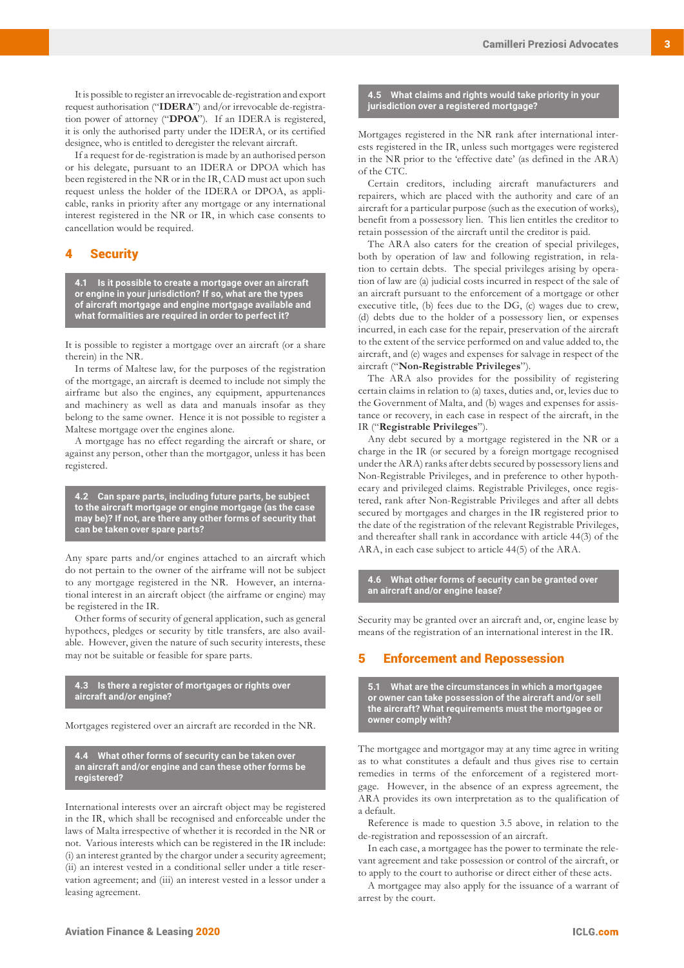It is possible to register an irrevocable de-registration and export request authorisation ("**IDERA**") and/or irrevocable de-registration power of attorney ("**DPOA**"). If an IDERA is registered, it is only the authorised party under the IDERA, or its certified designee, who is entitled to deregister the relevant aircraft.

If a request for de-registration is made by an authorised person or his delegate, pursuant to an IDERA or DPOA which has been registered in the NR or in the IR, CAD must act upon such request unless the holder of the IDERA or DPOA, as applicable, ranks in priority after any mortgage or any international interest registered in the NR or IR, in which case consents to cancellation would be required.

### **Security**

**4.1 Is it possible to create a mortgage over an aircraft or engine in your jurisdiction? If so, what are the types of aircraft mortgage and engine mortgage available and what formalities are required in order to perfect it?**

It is possible to register a mortgage over an aircraft (or a share therein) in the NR.

In terms of Maltese law, for the purposes of the registration of the mortgage, an aircraft is deemed to include not simply the airframe but also the engines, any equipment, appurtenances and machinery as well as data and manuals insofar as they belong to the same owner. Hence it is not possible to register a Maltese mortgage over the engines alone.

A mortgage has no effect regarding the aircraft or share, or against any person, other than the mortgagor, unless it has been registered.

**4.2 Can spare parts, including future parts, be subject to the aircraft mortgage or engine mortgage (as the case may be)? If not, are there any other forms of security that can be taken over spare parts?**

Any spare parts and/or engines attached to an aircraft which do not pertain to the owner of the airframe will not be subject to any mortgage registered in the NR. However, an international interest in an aircraft object (the airframe or engine) may be registered in the IR.

Other forms of security of general application, such as general hypothecs, pledges or security by title transfers, are also available. However, given the nature of such security interests, these may not be suitable or feasible for spare parts.

#### **4.3 Is there a register of mortgages or rights over aircraft and/or engine?**

Mortgages registered over an aircraft are recorded in the NR.

**4.4 What other forms of security can be taken over an aircraft and/or engine and can these other forms be registered?** 

International interests over an aircraft object may be registered in the IR, which shall be recognised and enforceable under the laws of Malta irrespective of whether it is recorded in the NR or not. Various interests which can be registered in the IR include: (i) an interest granted by the chargor under a security agreement; (ii) an interest vested in a conditional seller under a title reservation agreement; and (iii) an interest vested in a lessor under a leasing agreement.

#### **4.5 What claims and rights would take priority in your jurisdiction over a registered mortgage?**

Mortgages registered in the NR rank after international interests registered in the IR, unless such mortgages were registered in the NR prior to the 'effective date' (as defined in the ARA) of the CTC.

Certain creditors, including aircraft manufacturers and repairers, which are placed with the authority and care of an aircraft for a particular purpose (such as the execution of works), benefit from a possessory lien. This lien entitles the creditor to retain possession of the aircraft until the creditor is paid.

The ARA also caters for the creation of special privileges, both by operation of law and following registration, in relation to certain debts. The special privileges arising by operation of law are (a) judicial costs incurred in respect of the sale of an aircraft pursuant to the enforcement of a mortgage or other executive title, (b) fees due to the DG, (c) wages due to crew, (d) debts due to the holder of a possessory lien, or expenses incurred, in each case for the repair, preservation of the aircraft to the extent of the service performed on and value added to, the aircraft, and (e) wages and expenses for salvage in respect of the aircraft ("**Non-Registrable Privileges**").

The ARA also provides for the possibility of registering certain claims in relation to (a) taxes, duties and, or, levies due to the Government of Malta, and (b) wages and expenses for assistance or recovery, in each case in respect of the aircraft, in the IR ("**Registrable Privileges**").

Any debt secured by a mortgage registered in the NR or a charge in the IR (or secured by a foreign mortgage recognised under the ARA) ranks after debts secured by possessory liens and Non-Registrable Privileges, and in preference to other hypothecary and privileged claims. Registrable Privileges, once registered, rank after Non-Registrable Privileges and after all debts secured by mortgages and charges in the IR registered prior to the date of the registration of the relevant Registrable Privileges, and thereafter shall rank in accordance with article 44(3) of the ARA, in each case subject to article 44(5) of the ARA.

**4.6 What other forms of security can be granted over an aircraft and/or engine lease?**

Security may be granted over an aircraft and, or, engine lease by means of the registration of an international interest in the IR.

## 5 Enforcement and Repossession

**5.1 What are the circumstances in which a mortgagee or owner can take possession of the aircraft and/or sell the aircraft? What requirements must the mortgagee or owner comply with?**

The mortgagee and mortgagor may at any time agree in writing as to what constitutes a default and thus gives rise to certain remedies in terms of the enforcement of a registered mortgage. However, in the absence of an express agreement, the ARA provides its own interpretation as to the qualification of a default.

Reference is made to question 3.5 above, in relation to the de-registration and repossession of an aircraft.

In each case, a mortgagee has the power to terminate the relevant agreement and take possession or control of the aircraft, or to apply to the court to authorise or direct either of these acts.

A mortgagee may also apply for the issuance of a warrant of arrest by the court.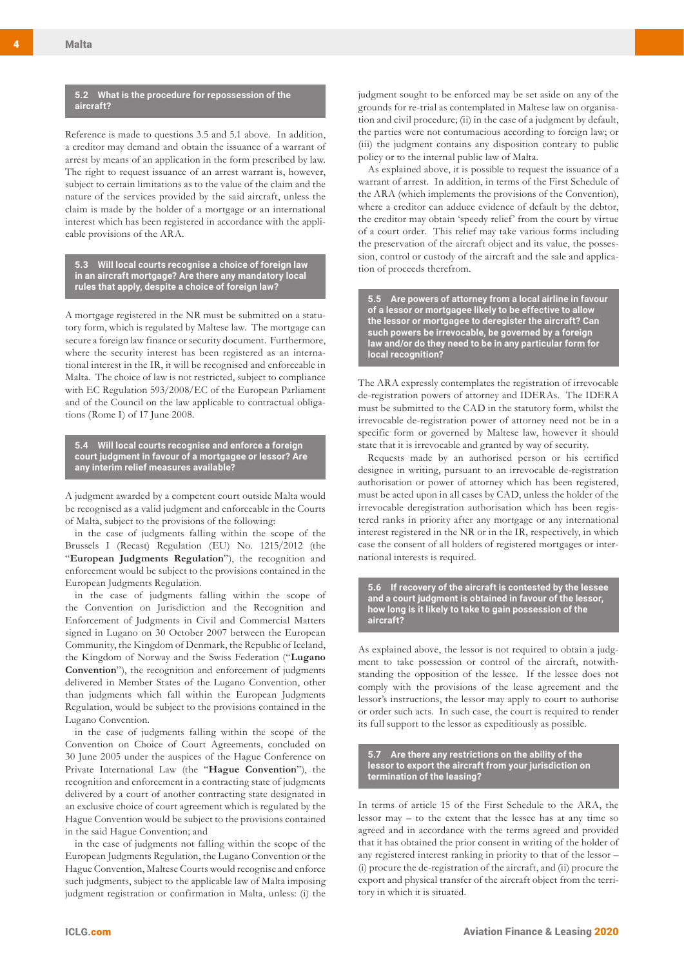#### **5.2 What is the procedure for repossession of the aircraft?**

Reference is made to questions 3.5 and 5.1 above. In addition, a creditor may demand and obtain the issuance of a warrant of arrest by means of an application in the form prescribed by law. The right to request issuance of an arrest warrant is, however, subject to certain limitations as to the value of the claim and the nature of the services provided by the said aircraft, unless the claim is made by the holder of a mortgage or an international interest which has been registered in accordance with the applicable provisions of the ARA.

**5.3 Will local courts recognise a choice of foreign law in an aircraft mortgage? Are there any mandatory local rules that apply, despite a choice of foreign law?**

A mortgage registered in the NR must be submitted on a statutory form, which is regulated by Maltese law. The mortgage can secure a foreign law finance or security document. Furthermore, where the security interest has been registered as an international interest in the IR, it will be recognised and enforceable in Malta. The choice of law is not restricted, subject to compliance with EC Regulation 593/2008/EC of the European Parliament and of the Council on the law applicable to contractual obligations (Rome I) of 17 June 2008.

**5.4 Will local courts recognise and enforce a foreign court judgment in favour of a mortgagee or lessor? Are any interim relief measures available?**

A judgment awarded by a competent court outside Malta would be recognised as a valid judgment and enforceable in the Courts of Malta, subject to the provisions of the following:

in the case of judgments falling within the scope of the Brussels I (Recast) Regulation (EU) No. 1215/2012 (the "**European Judgments Regulation**"), the recognition and enforcement would be subject to the provisions contained in the European Judgments Regulation.

in the case of judgments falling within the scope of the Convention on Jurisdiction and the Recognition and Enforcement of Judgments in Civil and Commercial Matters signed in Lugano on 30 October 2007 between the European Community, the Kingdom of Denmark, the Republic of Iceland, the Kingdom of Norway and the Swiss Federation ("**Lugano Convention**"), the recognition and enforcement of judgments delivered in Member States of the Lugano Convention, other than judgments which fall within the European Judgments Regulation, would be subject to the provisions contained in the Lugano Convention.

in the case of judgments falling within the scope of the Convention on Choice of Court Agreements, concluded on 30 June 2005 under the auspices of the Hague Conference on Private International Law (the "**Hague Convention**"), the recognition and enforcement in a contracting state of judgments delivered by a court of another contracting state designated in an exclusive choice of court agreement which is regulated by the Hague Convention would be subject to the provisions contained in the said Hague Convention; and

in the case of judgments not falling within the scope of the European Judgments Regulation, the Lugano Convention or the Hague Convention, Maltese Courts would recognise and enforce such judgments, subject to the applicable law of Malta imposing judgment registration or confirmation in Malta, unless: (i) the judgment sought to be enforced may be set aside on any of the grounds for re-trial as contemplated in Maltese law on organisation and civil procedure; (ii) in the case of a judgment by default, the parties were not contumacious according to foreign law; or (iii) the judgment contains any disposition contrary to public policy or to the internal public law of Malta.

As explained above, it is possible to request the issuance of a warrant of arrest. In addition, in terms of the First Schedule of the ARA (which implements the provisions of the Convention), where a creditor can adduce evidence of default by the debtor, the creditor may obtain 'speedy relief' from the court by virtue of a court order. This relief may take various forms including the preservation of the aircraft object and its value, the possession, control or custody of the aircraft and the sale and application of proceeds therefrom.

**5.5 Are powers of attorney from a local airline in favour of a lessor or mortgagee likely to be effective to allow the lessor or mortgagee to deregister the aircraft? Can such powers be irrevocable, be governed by a foreign law and/or do they need to be in any particular form for local recognition?**

The ARA expressly contemplates the registration of irrevocable de-registration powers of attorney and IDERAs. The IDERA must be submitted to the CAD in the statutory form, whilst the irrevocable de-registration power of attorney need not be in a specific form or governed by Maltese law, however it should state that it is irrevocable and granted by way of security.

Requests made by an authorised person or his certified designee in writing, pursuant to an irrevocable de-registration authorisation or power of attorney which has been registered, must be acted upon in all cases by CAD, unless the holder of the irrevocable deregistration authorisation which has been registered ranks in priority after any mortgage or any international interest registered in the NR or in the IR, respectively, in which case the consent of all holders of registered mortgages or international interests is required.

**5.6 If recovery of the aircraft is contested by the lessee and a court judgment is obtained in favour of the lessor, how long is it likely to take to gain possession of the aircraft?**

As explained above, the lessor is not required to obtain a judgment to take possession or control of the aircraft, notwithstanding the opposition of the lessee. If the lessee does not comply with the provisions of the lease agreement and the lessor's instructions, the lessor may apply to court to authorise or order such acts. In such case, the court is required to render its full support to the lessor as expeditiously as possible.

**5.7 Are there any restrictions on the ability of the lessor to export the aircraft from your jurisdiction on termination of the leasing?**

In terms of article 15 of the First Schedule to the ARA, the lessor may – to the extent that the lessee has at any time so agreed and in accordance with the terms agreed and provided that it has obtained the prior consent in writing of the holder of any registered interest ranking in priority to that of the lessor – (i) procure the de-registration of the aircraft, and (ii) procure the export and physical transfer of the aircraft object from the territory in which it is situated.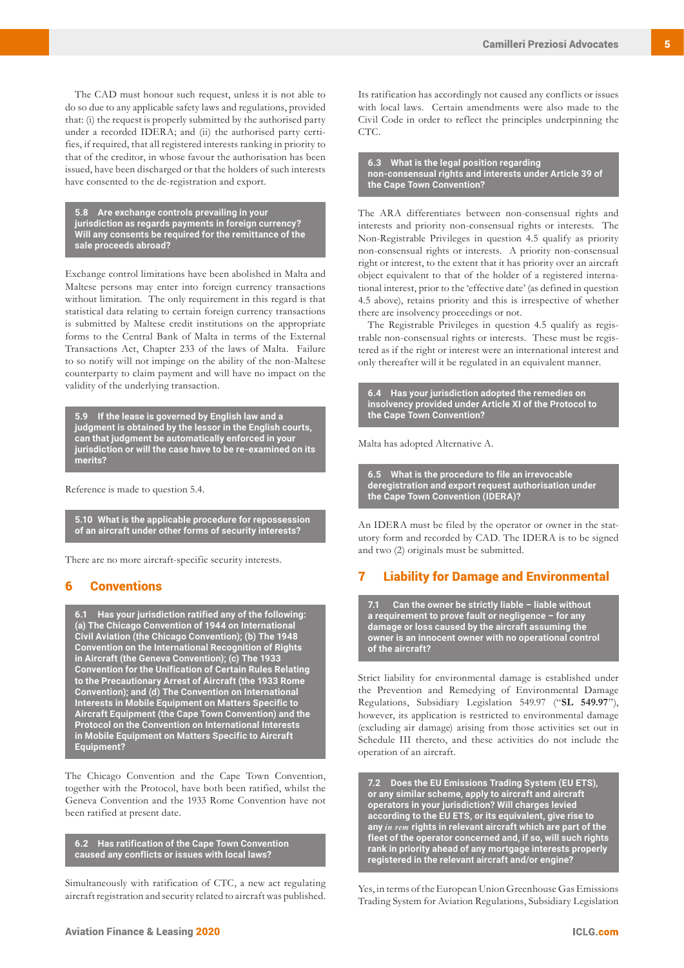The CAD must honour such request, unless it is not able to do so due to any applicable safety laws and regulations, provided that: (i) the request is properly submitted by the authorised party under a recorded IDERA; and (ii) the authorised party certifies, if required, that all registered interests ranking in priority to that of the creditor, in whose favour the authorisation has been issued, have been discharged or that the holders of such interests have consented to the de-registration and export.

**5.8 Are exchange controls prevailing in your jurisdiction as regards payments in foreign currency? Will any consents be required for the remittance of the sale proceeds abroad?**

Exchange control limitations have been abolished in Malta and Maltese persons may enter into foreign currency transactions without limitation. The only requirement in this regard is that statistical data relating to certain foreign currency transactions is submitted by Maltese credit institutions on the appropriate forms to the Central Bank of Malta in terms of the External Transactions Act, Chapter 233 of the laws of Malta. Failure to so notify will not impinge on the ability of the non-Maltese counterparty to claim payment and will have no impact on the validity of the underlying transaction.

**5.9 If the lease is governed by English law and a judgment is obtained by the lessor in the English courts, can that judgment be automatically enforced in your jurisdiction or will the case have to be re-examined on its merits?**

Reference is made to question 5.4.

**5.10 What is the applicable procedure for repossession of an aircraft under other forms of security interests?**

There are no more aircraft-specific security interests.

## 6 Conventions

**6.1 Has your jurisdiction ratified any of the following: (a) The Chicago Convention of 1944 on International Civil Aviation (the Chicago Convention); (b) The 1948 Convention on the International Recognition of Rights in Aircraft (the Geneva Convention); (c) The 1933 Convention for the Unification of Certain Rules Relating to the Precautionary Arrest of Aircraft (the 1933 Rome Convention); and (d) The Convention on International Interests in Mobile Equipment on Matters Specific to Aircraft Equipment (the Cape Town Convention) and the Protocol on the Convention on International Interests in Mobile Equipment on Matters Specific to Aircraft Equipment?** 

The Chicago Convention and the Cape Town Convention, together with the Protocol, have both been ratified, whilst the Geneva Convention and the 1933 Rome Convention have not been ratified at present date.

**6.2 Has ratification of the Cape Town Convention caused any conflicts or issues with local laws?**

Simultaneously with ratification of CTC, a new act regulating aircraft registration and security related to aircraft was published. Its ratification has accordingly not caused any conflicts or issues with local laws. Certain amendments were also made to the Civil Code in order to reflect the principles underpinning the CTC.

**6.3 What is the legal position regarding non-consensual rights and interests under Article 39 of the Cape Town Convention?**

The ARA differentiates between non-consensual rights and interests and priority non-consensual rights or interests. The Non-Registrable Privileges in question 4.5 qualify as priority non-consensual rights or interests. A priority non-consensual right or interest, to the extent that it has priority over an aircraft object equivalent to that of the holder of a registered international interest, prior to the 'effective date' (as defined in question 4.5 above), retains priority and this is irrespective of whether there are insolvency proceedings or not.

The Registrable Privileges in question 4.5 qualify as registrable non-consensual rights or interests. These must be registered as if the right or interest were an international interest and only thereafter will it be regulated in an equivalent manner.

**6.4 Has your jurisdiction adopted the remedies on insolvency provided under Article XI of the Protocol to the Cape Town Convention?**

Malta has adopted Alternative A.

**6.5 What is the procedure to file an irrevocable deregistration and export request authorisation under the Cape Town Convention (IDERA)?**

An IDERA must be filed by the operator or owner in the statutory form and recorded by CAD. The IDERA is to be signed and two (2) originals must be submitted.

## 7 Liability for Damage and Environmental

**7.1 Can the owner be strictly liable – liable without a requirement to prove fault or negligence – for any damage or loss caused by the aircraft assuming the owner is an innocent owner with no operational control of the aircraft?** 

Strict liability for environmental damage is established under the Prevention and Remedying of Environmental Damage Regulations, Subsidiary Legislation 549.97 ("**SL 549.97**"), however, its application is restricted to environmental damage (excluding air damage) arising from those activities set out in Schedule III thereto, and these activities do not include the operation of an aircraft.

**7.2 Does the EU Emissions Trading System (EU ETS), or any similar scheme, apply to aircraft and aircraft operators in your jurisdiction? Will charges levied according to the EU ETS, or its equivalent, give rise to any** *in rem* **rights in relevant aircraft which are part of the fleet of the operator concerned and, if so, will such rights rank in priority ahead of any mortgage interests properly registered in the relevant aircraft and/or engine?** 

Yes, in terms of the European Union Greenhouse Gas Emissions Trading System for Aviation Regulations, Subsidiary Legislation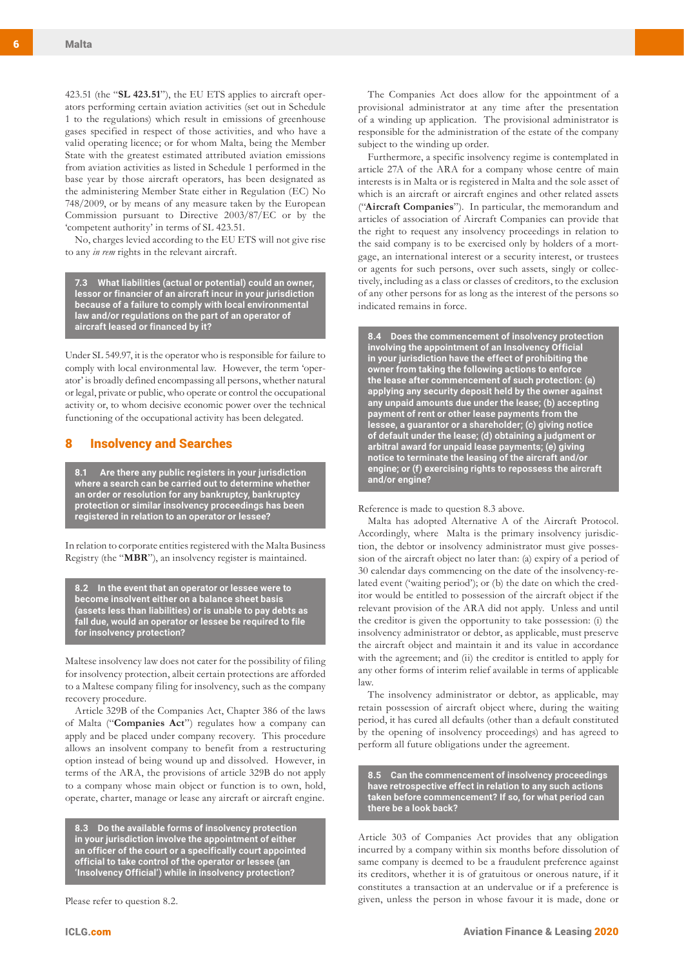423.51 (the "**SL 423.51**"), the EU ETS applies to aircraft operators performing certain aviation activities (set out in Schedule 1 to the regulations) which result in emissions of greenhouse gases specified in respect of those activities, and who have a valid operating licence; or for whom Malta, being the Member State with the greatest estimated attributed aviation emissions from aviation activities as listed in Schedule 1 performed in the base year by those aircraft operators, has been designated as the administering Member State either in Regulation (EC) No 748/2009, or by means of any measure taken by the European Commission pursuant to Directive 2003/87/EC or by the 'competent authority' in terms of SL 423.51.

No, charges levied according to the EU ETS will not give rise to any *in rem* rights in the relevant aircraft.

**7.3 What liabilities (actual or potential) could an owner, lessor or financier of an aircraft incur in your jurisdiction because of a failure to comply with local environmental law and/or regulations on the part of an operator of aircraft leased or financed by it?**

Under SL 549.97, it is the operator who is responsible for failure to comply with local environmental law. However, the term 'operator' is broadly defined encompassing all persons, whether natural or legal, private or public, who operate or control the occupational activity or, to whom decisive economic power over the technical functioning of the occupational activity has been delegated.

#### 8 Insolvency and Searches

**8.1 Are there any public registers in your jurisdiction where a search can be carried out to determine whether an order or resolution for any bankruptcy, bankruptcy protection or similar insolvency proceedings has been registered in relation to an operator or lessee?** 

In relation to corporate entities registered with the Malta Business Registry (the "**MBR**"), an insolvency register is maintained.

**8.2 In the event that an operator or lessee were to become insolvent either on a balance sheet basis (assets less than liabilities) or is unable to pay debts as fall due, would an operator or lessee be required to file for insolvency protection?**

Maltese insolvency law does not cater for the possibility of filing for insolvency protection, albeit certain protections are afforded to a Maltese company filing for insolvency, such as the company recovery procedure.

Article 329B of the Companies Act, Chapter 386 of the laws of Malta ("**Companies Act**") regulates how a company can apply and be placed under company recovery. This procedure allows an insolvent company to benefit from a restructuring option instead of being wound up and dissolved. However, in terms of the ARA, the provisions of article 329B do not apply to a company whose main object or function is to own, hold, operate, charter, manage or lease any aircraft or aircraft engine.

**8.3 Do the available forms of insolvency protection in your jurisdiction involve the appointment of either an officer of the court or a specifically court appointed official to take control of the operator or lessee (an 'Insolvency Official') while in insolvency protection?**

Please refer to question 8.2.

The Companies Act does allow for the appointment of a provisional administrator at any time after the presentation of a winding up application. The provisional administrator is responsible for the administration of the estate of the company subject to the winding up order.

Furthermore, a specific insolvency regime is contemplated in article 27A of the ARA for a company whose centre of main interests is in Malta or is registered in Malta and the sole asset of which is an aircraft or aircraft engines and other related assets ("**Aircraft Companies**"). In particular, the memorandum and articles of association of Aircraft Companies can provide that the right to request any insolvency proceedings in relation to the said company is to be exercised only by holders of a mortgage, an international interest or a security interest, or trustees or agents for such persons, over such assets, singly or collectively, including as a class or classes of creditors, to the exclusion of any other persons for as long as the interest of the persons so indicated remains in force.

**8.4 Does the commencement of insolvency protection involving the appointment of an Insolvency Official in your jurisdiction have the effect of prohibiting the owner from taking the following actions to enforce the lease after commencement of such protection: (a) applying any security deposit held by the owner against any unpaid amounts due under the lease; (b) accepting payment of rent or other lease payments from the lessee, a guarantor or a shareholder; (c) giving notice of default under the lease; (d) obtaining a judgment or arbitral award for unpaid lease payments; (e) giving notice to terminate the leasing of the aircraft and/or engine; or (f) exercising rights to repossess the aircraft and/or engine?**

Reference is made to question 8.3 above.

Malta has adopted Alternative A of the Aircraft Protocol. Accordingly, where Malta is the primary insolvency jurisdiction, the debtor or insolvency administrator must give possession of the aircraft object no later than: (a) expiry of a period of 30 calendar days commencing on the date of the insolvency-related event ('waiting period'); or (b) the date on which the creditor would be entitled to possession of the aircraft object if the relevant provision of the ARA did not apply. Unless and until the creditor is given the opportunity to take possession: (i) the insolvency administrator or debtor, as applicable, must preserve the aircraft object and maintain it and its value in accordance with the agreement; and (ii) the creditor is entitled to apply for any other forms of interim relief available in terms of applicable law.

The insolvency administrator or debtor, as applicable, may retain possession of aircraft object where, during the waiting period, it has cured all defaults (other than a default constituted by the opening of insolvency proceedings) and has agreed to perform all future obligations under the agreement.

**8.5 Can the commencement of insolvency proceedings have retrospective effect in relation to any such actions taken before commencement? If so, for what period can there be a look back?** 

Article 303 of Companies Act provides that any obligation incurred by a company within six months before dissolution of same company is deemed to be a fraudulent preference against its creditors, whether it is of gratuitous or onerous nature, if it constitutes a transaction at an undervalue or if a preference is given, unless the person in whose favour it is made, done or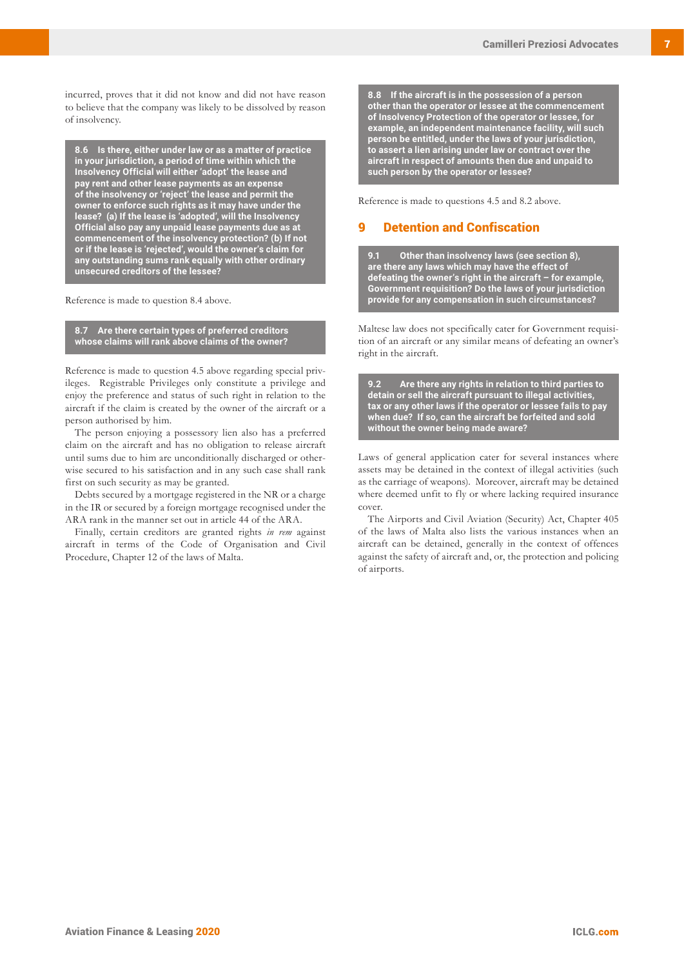incurred, proves that it did not know and did not have reason to believe that the company was likely to be dissolved by reason of insolvency.

**8.6 Is there, either under law or as a matter of practice in your jurisdiction, a period of time within which the Insolvency Official will either 'adopt' the lease and pay rent and other lease payments as an expense of the insolvency or 'reject' the lease and permit the owner to enforce such rights as it may have under the lease? (a) If the lease is 'adopted', will the Insolvency Official also pay any unpaid lease payments due as at commencement of the insolvency protection? (b) If not or if the lease is 'rejected', would the owner's claim for any outstanding sums rank equally with other ordinary unsecured creditors of the lessee?** 

Reference is made to question 8.4 above.

#### **8.7 Are there certain types of preferred creditors whose claims will rank above claims of the owner?**

Reference is made to question 4.5 above regarding special privileges. Registrable Privileges only constitute a privilege and enjoy the preference and status of such right in relation to the aircraft if the claim is created by the owner of the aircraft or a person authorised by him.

The person enjoying a possessory lien also has a preferred claim on the aircraft and has no obligation to release aircraft until sums due to him are unconditionally discharged or otherwise secured to his satisfaction and in any such case shall rank first on such security as may be granted.

Debts secured by a mortgage registered in the NR or a charge in the IR or secured by a foreign mortgage recognised under the ARA rank in the manner set out in article 44 of the ARA.

Finally, certain creditors are granted rights *in rem* against aircraft in terms of the Code of Organisation and Civil Procedure, Chapter 12 of the laws of Malta.

**8.8 If the aircraft is in the possession of a person other than the operator or lessee at the commencement of Insolvency Protection of the operator or lessee, for example, an independent maintenance facility, will such person be entitled, under the laws of your jurisdiction, to assert a lien arising under law or contract over the aircraft in respect of amounts then due and unpaid to such person by the operator or lessee?** 

Reference is made to questions 4.5 and 8.2 above.

# 9 Detention and Confiscation

**9.1 Other than insolvency laws (see section 8), are there any laws which may have the effect of defeating the owner's right in the aircraft – for example, Government requisition? Do the laws of your jurisdiction provide for any compensation in such circumstances?** 

Maltese law does not specifically cater for Government requisition of an aircraft or any similar means of defeating an owner's right in the aircraft.

**9.2 Are there any rights in relation to third parties to detain or sell the aircraft pursuant to illegal activities, tax or any other laws if the operator or lessee fails to pay when due? If so, can the aircraft be forfeited and sold without the owner being made aware?** 

Laws of general application cater for several instances where assets may be detained in the context of illegal activities (such as the carriage of weapons). Moreover, aircraft may be detained where deemed unfit to fly or where lacking required insurance cover.

The Airports and Civil Aviation (Security) Act, Chapter 405 of the laws of Malta also lists the various instances when an aircraft can be detained, generally in the context of offences against the safety of aircraft and, or, the protection and policing of airports.